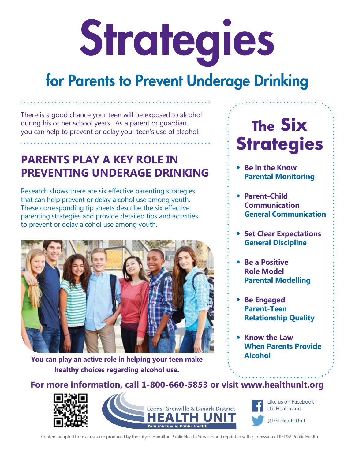# Strategies

# for Parents to Prevent Underage Drinking

There is a good chance your teen will be exposed to alcohol during his or her school years. As a parent or guardian, you can help to prevent or delay your teen's use of alcohol.

# **PARENTS PLAY A KEY ROLE IN PREVENTING UNDERAGE DRINKING**

Research shows there are six effective parenting strategies that can help prevent or delay alcohol use among youth. These corresponding tip sheets describe the six effective parenting strategies and provide detailed tips and activities to prevent or delay alcohol use among youth.



**You can play an active role in helping your teen make healthy choices regarding alcohol use.**

# **The Six Strategies**

- � **Be in the Know Parental Monitoring**
- � **Parent-Child Communication General Communication**
- � **Set Clear Expectations General Discipline**
- � **Be a Positive Role Model Parental Modelling**
- � **Be Engaged Parent-Teen Relationship Quality**
- � **Know the Law When Parents Provide Alcohol**

**For more information, call 1-800-660-5853 or visit www.healthunit.org**





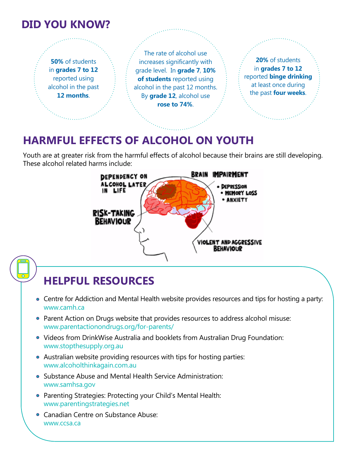### **DID YOU KNOW?**

**50%** of students in **grades 7 to 12** reported using alcohol in the past **12 months**.

The rate of alcohol use increases significantly with grade level. In **grade 7**, **10% of students** reported using alcohol in the past 12 months. By **grade 12**, alcohol use **rose to 74%**.

**20%** of students in **grades 7 to 12** reported **binge drinking**  at least once during the past **four weeks**.

## **HARMFUL EFFECTS OF ALCOHOL ON YOUTH**

Youth are at greater risk from the harmful effects of alcohol because their brains are still developing. These alcohol related harms include:



- Centre for Addiction and Mental Health website provides resources and tips for hosting a party: www.camh.ca
- **Parent Action on Drugs website that provides resources to address alcohol misuse:** www.parentactionondrugs.org/for-parents/
- Videos from DrinkWise Australia and booklets from Australian Drug Foundation: www.stopthesupply.org.au
- Australian website providing resources with tips for hosting parties: www.alcoholthinkagain.com.au
- Substance Abuse and Mental Health Service Administration: www.samhsa.gov
- Parenting Strategies: Protecting your Child's Mental Health: www.parentingstrategies.net
- **Canadian Centre on Substance Abuse:** www.ccsa.ca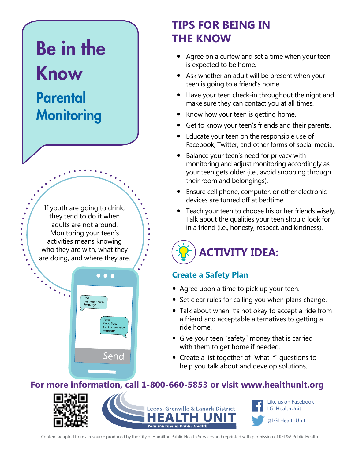# Be in the Know

# **Parental Monitoring**

If youth are going to drink, they tend to do it when adults are not around. Monitoring your teen's activities means knowing who they are with, what they are doing, and where they are.



# **TIPS FOR BEING IN THE KNOW**

- Agree on a curfew and set a time when your teen is expected to be home.
- Ask whether an adult will be present when your teen is going to a friend's home.
- Have your teen check-in throughout the night and make sure they can contact you at all times.
- Know how your teen is getting home.
- Get to know your teen's friends and their parents.
- Educate your teen on the responsible use of Facebook, Twitter, and other forms of social media.
- Balance your teen's need for privacy with monitoring and adjust monitoring accordingly as your teen gets older (i.e., avoid snooping through their room and belongings).
- Ensure cell phone, computer, or other electronic devices are turned off at bedtime.
- Teach your teen to choose his or her friends wisely. Talk about the qualities your teen should look for in a friend (i.e., honesty, respect, and kindness).



#### **Create a Safety Plan**

- Agree upon a time to pick up your teen.
- Set clear rules for calling you when plans change.
- Talk about when it's not okay to accept a ride from a friend and acceptable alternatives to getting a ride home.
- Give your teen "safety" money that is carried with them to get home if needed.
- Create a list together of "what if" questions to help you talk about and develop solutions.

#### **For more information, call 1-800-660-5853 or visit www.healthunit.org**



Like us on Facebook LGLHealthUnit @LGLHealthUnit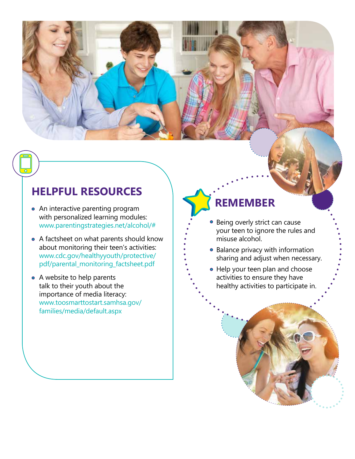## **HELPFUL RESOURCES**

- An interactive parenting program with personalized learning modules: www.parentingstrategies.net/alcohol/#
- A factsheet on what parents should know about monitoring their teen's activities: www.cdc.gov/healthyyouth/protective/ pdf/parental\_monitoring\_factsheet.pdf
- A website to help parents talk to their youth about the importance of media literacy: www.toosmarttostart.samhsa.gov/ families/media/default.aspx

# **REMEMBER**

- Being overly strict can cause your teen to ignore the rules and misuse alcohol.
- Balance privacy with information sharing and adjust when necessary.
- Help your teen plan and choose activities to ensure they have healthy activities to participate in.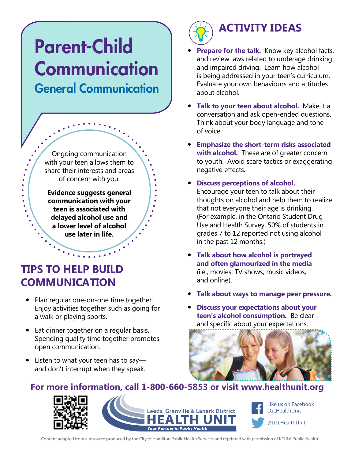# Parent-Child **Communication** General Communication

Ongoing communication with your teen allows them to share their interests and areas of concern with you.

**Evidence suggests general communication with your teen is associated with delayed alcohol use and a lower level of alcohol use later in life.** 

# **TIPS TO HELP BUILD COMMUNICATION**

 $\ddot{\cdot}$ 

- Plan regular one-on-one time together. Enjoy activities together such as going for a walk or playing sports.
- Eat dinner together on a regular basis. Spending quality time together promotes open communication.
- Listen to what your teen has to say and don't interrupt when they speak.



# **ACTIVITY IDEAS**

- **Prepare for the talk.** Know key alcohol facts, and review laws related to underage drinking and impaired driving. Learn how alcohol is being addressed in your teen's curriculum. Evaluate your own behaviours and attitudes about alcohol.
- � **Talk to your teen about alcohol.** Make it a conversation and ask open-ended questions. Think about your body language and tone of voice.
- � **Emphasize the short-term risks associated with alcohol.** These are of greater concern to youth. Avoid scare tactics or exaggerating negative effects.
- � **Discuss perceptions of alcohol.**  Encourage your teen to talk about their thoughts on alcohol and help them to realize that not everyone their age is drinking. (For example, in the Ontario Student Drug Use and Health Survey, 50% of students in grades 7 to 12 reported not using alcohol in the past 12 months.)
- � **Talk about how alcohol is portrayed and often glamourized in the media**  (i.e., movies, TV shows, music videos, and online).
- � **Talk about ways to manage peer pressure.**
- � **Discuss your expectations about your teen's alcohol consumption.** Be clear and specific about your expectations.



#### **For more information, call 1-800-660-5853 or visit www.healthunit.org**





Content adapted from a resource produced by the City of Hamilton Public Health Services and reprinted with permission of KFL&A Public Health

**Your Partner in Public Health**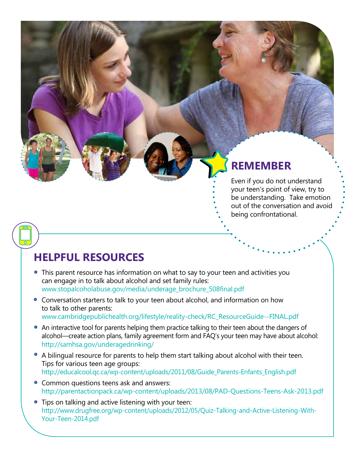## **REMEMBER**

Even if you do not understand your teen's point of view, try to be understanding. Take emotion out of the conversation and avoid being confrontational.

- This parent resource has information on what to say to your teen and activities you can engage in to talk about alcohol and set family rules: www.stopalcoholabuse.gov/media/underage\_brochure\_508final.pdf
- Conversation starters to talk to your teen about alcohol, and information on how to talk to other parents: www.cambridgepublichealth.org/lifestyle/reality-check/RC\_ResourceGuide--FINAL.pdf
- An interactive tool for parents helping them practice talking to their teen about the dangers of alcohol—create action plans, family agreement form and FAQ's your teen may have about alcohol: http://samhsa.gov/underagedrinking/
- A bilingual resource for parents to help them start talking about alcohol with their teen. Tips for various teen age groups: http://educalcool.qc.ca/wp-content/uploads/2011/08/Guide\_Parents-Enfants\_English.pdf
- Common questions teens ask and answers: http://parentactionpack.ca/wp-content/uploads/2013/08/PAD-Questions-Teens-Ask-2013.pdf
- **•** Tips on talking and active listening with your teen: http://www.drugfree.org/wp-content/uploads/2012/05/Quiz-Talking-and-Active-Listening-With-Your-Teen-2014.pdf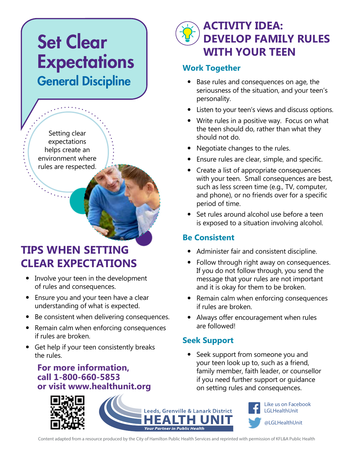# Set Clear **Expectations** General Discipline

Setting clear expectations helps create an environment where rules are respected.

## **TIPS WHEN SETTING CLEAR EXPECTATIONS**

- Involve your teen in the development of rules and consequences.
- Ensure you and your teen have a clear understanding of what is expected.
- Be consistent when delivering consequences.
- Remain calm when enforcing consequences if rules are broken.
- Get help if your teen consistently breaks the rules.

#### **For more information, call 1-800-660-5853 or visit www.healthunit.org**

# **ACTIVITY IDEA: DEVELOP FAMILY RULES WITH YOUR TEEN**

#### **Work Together**

- Base rules and consequences on age, the seriousness of the situation, and your teen's personality.
- Listen to your teen's views and discuss options.
- Write rules in a positive way. Focus on what the teen should do, rather than what they should not do.
- Negotiate changes to the rules.
- **•** Ensure rules are clear, simple, and specific.
- Create a list of appropriate consequences with your teen. Small consequences are best, such as less screen time (e.g., TV, computer, and phone), or no friends over for a specific period of time.
- Set rules around alcohol use before a teen is exposed to a situation involving alcohol.

#### **Be Consistent**

- Administer fair and consistent discipline.
- Follow through right away on consequences. If you do not follow through, you send the message that your rules are not important and it is okay for them to be broken.
- Remain calm when enforcing consequences if rules are broken.
- Always offer encouragement when rules are followed!

#### **Seek Support**

• Seek support from someone you and your teen look up to, such as a friend, family member, faith leader, or counsellor if you need further support or guidance on setting rules and consequences.

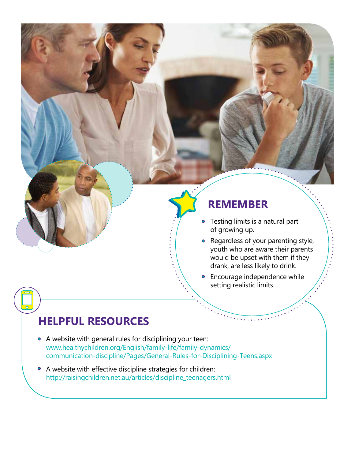#### **REMEMBER**

- Testing limits is a natural part  $\bullet$ of growing up.
- Regardless of your parenting style, youth who are aware their parents would be upset with them if they drank, are less likely to drink.

**•** Encourage independence while setting realistic limits.

- A website with general rules for disciplining your teen: www.healthychildren.org/English/family-life/family-dynamics/ communication-discipline/Pages/General-Rules-for-Disciplining-Teens.aspx
- A website with effective discipline strategies for children: http://raisingchildren.net.au/articles/discipline\_teenagers.html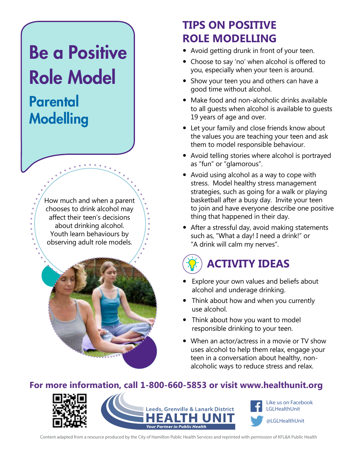# Be a Positive Role Model

# **Parental** Modelling

How much and when a parent chooses to drink alcohol may affect their teen's decisions about drinking alcohol. Youth learn behaviours by observing adult role models.



# **TIPS ON POSITIVE ROLE MODELLING**

- Avoid getting drunk in front of your teen.
- Choose to say 'no' when alcohol is offered to you, especially when your teen is around.
- Show your teen you and others can have a good time without alcohol.
- $\bullet$  Make food and non-alcoholic drinks available to all guests when alcohol is available to guests 19 years of age and over.
- Let your family and close friends know about the values you are teaching your teen and ask them to model responsible behaviour.
- Avoid telling stories where alcohol is portrayed as "fun" or "glamorous".
- Avoid using alcohol as a way to cope with stress. Model healthy stress management strategies, such as going for a walk or playing basketball after a busy day. Invite your teen to join and have everyone describe one positive thing that happened in their day.
- After a stressful day, avoid making statements such as, "What a day! I need a drink!" or "A drink will calm my nerves".

# **ACTIVITY IDEAS**

- Explore your own values and beliefs about alcohol and underage drinking.
- Think about how and when you currently use alcohol.
- Think about how you want to model responsible drinking to your teen.
- When an actor/actress in a movie or TV show uses alcohol to help them relax, engage your teen in a conversation about healthy, nonalcoholic ways to reduce stress and relax.

#### **For more information, call 1-800-660-5853 or visit www.healthunit.org**





Like us on Facebook LGLHealthUnit @LGLHealthUnit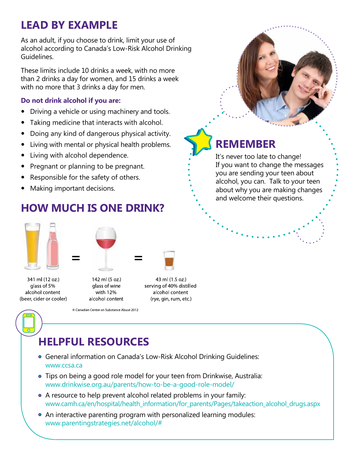# **LEAD BY EXAMPLE**

As an adult, if you choose to drink, limit your use of alcohol according to Canada's Low-Risk Alcohol Drinking Guidelines.

These limits include 10 drinks a week, with no more than 2 drinks a day for women, and 15 drinks a week with no more that 3 drinks a day for men.

#### **Do not drink alcohol if you are:**

- Driving a vehicle or using machinery and tools.
- Taking medicine that interacts with alcohol.
- Doing any kind of dangerous physical activity.
- Living with mental or physical health problems.
- Living with alcohol dependence.
- Pregnant or planning to be pregnant.
- Responsible for the safety of others.
- Making important decisions.

# **HOW MUCH IS ONE DRINK?**





341 ml (12 oz.) alass of 5% alcohol content (beer, cider or cooler)

- glass of wine with 12% alcohol content
- 43 ml (1.5 oz.) serving of 40% distilled alcohol content (rye, gin, rum, etc.)

Canadian Centre on Substance Abuse 2012

# **HELPFUL RESOURCES**

- General information on Canada's Low-Risk Alcohol Drinking Guidelines: www.ccsa.ca
- Tips on being a good role model for your teen from Drinkwise, Australia: www.drinkwise.org.au/parents/how-to-be-a-good-role-model/
- A resource to help prevent alcohol related problems in your family: www.camh.ca/en/hospital/health\_information/for\_parents/Pages/takeaction\_alcohol\_drugs.aspx
- An interactive parenting program with personalized learning modules: www.parentingstrategies.net/alcohol/#

# **REMEMBER**

It's never too late to change! If you want to change the messages you are sending your teen about alcohol, you can. Talk to your teen about why you are making changes and welcome their questions.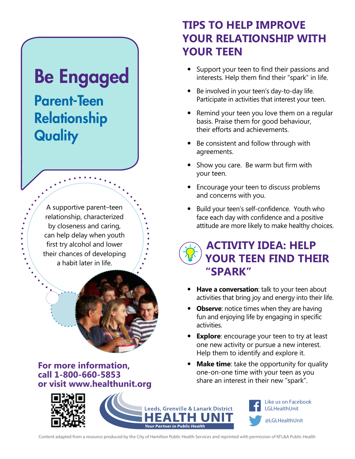# Be Engaged

Parent-Teen Relationship **Quality** 

> A supportive parent–teen relationship, characterized by closeness and caring, can help delay when youth first try alcohol and lower their chances of developing a habit later in life.



**For more information, call 1-800-660-5853 or visit www.healthunit.org**

## **TIPS TO HELP IMPROVE YOUR RELATIONSHIP WITH YOUR TEEN**

- Support your teen to find their passions and interests. Help them find their "spark" in life.
- Be involved in your teen's day-to-day life. Participate in activities that interest your teen.
- Remind your teen you love them on a regular basis. Praise them for good behaviour, their efforts and achievements.
- Be consistent and follow through with agreements.
- Show you care. Be warm but firm with your teen.
- Encourage your teen to discuss problems and concerns with you.
- Build your teen's self-confidence. Youth who face each day with confidence and a positive attitude are more likely to make healthy choices.

## **ACTIVITY IDEA: HELP YOUR TEEN FIND THEIR "SPARK"**

- **Have a conversation**: talk to your teen about activities that bring joy and energy into their life.
- **Observe**: notice times when they are having fun and enjoying life by engaging in specific activities.
- **Explore**: encourage your teen to try at least one new activity or pursue a new interest. Help them to identify and explore it.
- **Make time**: take the opportunity for quality one-on-one time with your teen as you share an interest in their new "spark".

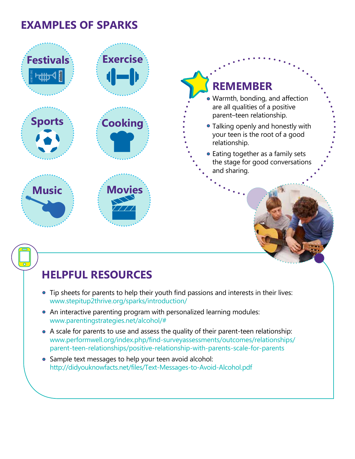## **EXAMPLES OF SPARKS**



- Tip sheets for parents to help their youth find passions and interests in their lives: www.stepitup2thrive.org/sparks/introduction/
- An interactive parenting program with personalized learning modules: www.parentingstrategies.net/alcohol/#
- A scale for parents to use and assess the quality of their parent-teen relationship: www.performwell.org/index.php/find-surveyassessments/outcomes/relationships/ parent-teen-relationships/positive-relationship-with-parents-scale-for-parents
- Sample text messages to help your teen avoid alcohol: http://didyouknowfacts.net/files/Text-Messages-to-Avoid-Alcohol.pdf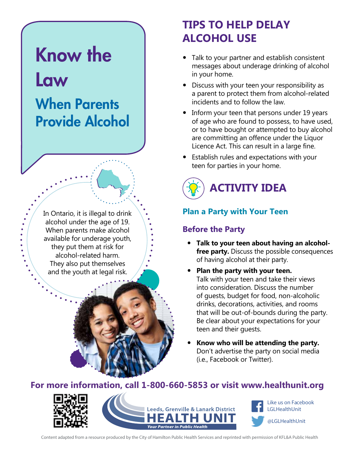# Know the Law When Parents Provide Alcohol

In Ontario, it is illegal to drink alcohol under the age of 19. When parents make alcohol available for underage youth, they put them at risk for alcohol-related harm. They also put themselves and the youth at legal risk.

# **TIPS TO HELP DELAY ALCOHOL USE**

- Talk to your partner and establish consistent messages about underage drinking of alcohol in your home.
- Discuss with your teen your responsibility as a parent to protect them from alcohol-related incidents and to follow the law.
- Inform your teen that persons under 19 years of age who are found to possess, to have used, or to have bought or attempted to buy alcohol are committing an offence under the Liquor Licence Act. This can result in a large fine.
- Establish rules and expectations with your teen for parties in your home.



#### **Plan a Party with Your Teen**

#### **Before the Party**

- **Talk to your teen about having an alcoholfree party.** Discuss the possible consequences of having alcohol at their party.
- **Plan the party with your teen.** Talk with your teen and take their views into consideration. Discuss the number of guests, budget for food, non-alcoholic drinks, decorations, activities, and rooms that will be out-of-bounds during the party. Be clear about your expectations for your teen and their guests.
- Know who will be attending the party. Don't advertise the party on social media (i.e., Facebook or Twitter).

#### **For more information, call 1-800-660-5853 or visit www.healthunit.org**

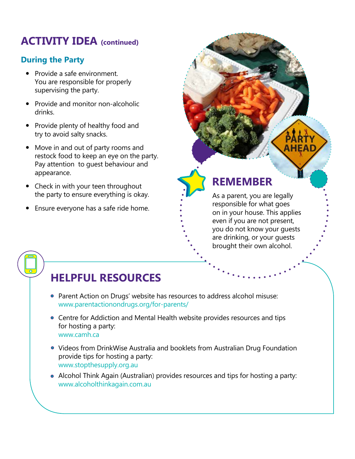### **ACTIVITY IDEA (continued)**

#### **During the Party**

- Provide a safe environment. You are responsible for properly supervising the party.
- Provide and monitor non-alcoholic drinks.
- Provide plenty of healthy food and try to avoid salty snacks.
- Move in and out of party rooms and restock food to keep an eye on the party. Pay attention to guest behaviour and appearance.
- Check in with your teen throughout the party to ensure everything is okay.
- Ensure everyone has a safe ride home.

**REMEMBER**

As a parent, you are legally responsible for what goes on in your house. This applies even if you are not present, you do not know your guests are drinking, or your guests brought their own alcohol.

**AHEAD** 

- Parent Action on Drugs' website has resources to address alcohol misuse: www.parentactionondrugs.org/for-parents/
- Centre for Addiction and Mental Health website provides resources and tips for hosting a party: www.camh.ca
- Videos from DrinkWise Australia and booklets from Australian Drug Foundation provide tips for hosting a party: www.stopthesupply.org.au
- Alcohol Think Again (Australian) provides resources and tips for hosting a party: www.alcoholthinkagain.com.au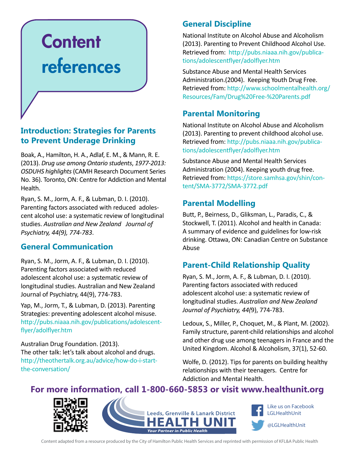# **Content** references

#### **Introduction: Strategies for Parents to Prevent Underage Drinking**

Boak, A., Hamilton, H. A., Adlaf, E. M., & Mann, R. E. (2013). *Drug use among Ontario students*, *1977-2013: OSDUHS highlights* (CAMH Research Document Series No. 36). Toronto, ON: Centre for Addiction and Mental Health.

Ryan, S. M., Jorm, A. F., & Lubman, D. I. (2010). Parenting factors associated with reduced adolescent alcohol use: a systematic review of longitudinal studies. *Australian and New Zealand Journal of Psychiatry, 44(9), 774-783*.

#### **General Communication**

Ryan, S. M., Jorm, A. F., & Lubman, D. I. (2010). Parenting factors associated with reduced adolescent alcohol use: a systematic review of longitudinal studies. Australian and New Zealand Journal of Psychiatry, 44(9), 774-783.

Yap, M., Jorm, T., & Lubman, D. (2013). Parenting Strategies: preventing adolescent alcohol misuse. http://pubs.niaaa.nih.gov/publications/adolescentflyer/adolflyer.htm

Australian Drug Foundation. (2013). The other talk: let's talk about alcohol and drugs. http://theothertalk.org.au/advice/how-do-i-startthe-conversation/

#### **General Discipline**

National Institute on Alcohol Abuse and Alcoholism (2013). Parenting to Prevent Childhood Alcohol Use. Retrieved from: http://pubs.niaaa.nih.gov/publications/adolescentflyer/adolflyer.htm

Substance Abuse and Mental Health Services Administration.(2004). Keeping Youth Drug Free. Retrieved from: http://www.schoolmentalhealth.org/ Resources/Fam/Drug%20Free-%20Parents.pdf

#### **Parental Monitoring**

National Institute on Alcohol Abuse and Alcoholism (2013). Parenting to prevent childhood alcohol use. Retrieved from: http://pubs.niaaa.nih.gov/publications/adolescentflyer/adolflyer.htm

Substance Abuse and Mental Health Services Administration (2004). Keeping youth drug free. Retrieved from: https://store.samhsa.gov/shin/content/SMA-3772/SMA-3772.pdf

#### **Parental Modelling**

Butt, P., Beirness, D., Gliksman, L., Paradis, C., & Stockwell, T. (2011). Alcohol and health in Canada: A summary of evidence and guidelines for low-risk drinking. Ottawa, ON: Canadian Centre on Substance Abuse

#### **Parent-Child Relationship Quality**

Ryan, S. M., Jorm, A. F., & Lubman, D. I. (2010). Parenting factors associated with reduced adolescent alcohol use: a systematic review of longitudinal studies. *Australian and New Zealand Journal of Psychiatry, 44(*9), 774-783.

Ledoux, S., Miller, P., Choquet, M., & Plant, M. (2002). Family structure, parent-child relationships and alcohol and other drug use among teenagers in France and the United Kingdom. Alcohol & Alcoholism, 37(1), 52-60.

Wolfe, D. (2012). Tips for parents on building healthy relationships with their teenagers. Centre for Addiction and Mental Health.

#### **For more information, call 1-800-660-5853 or visit www.healthunit.org**